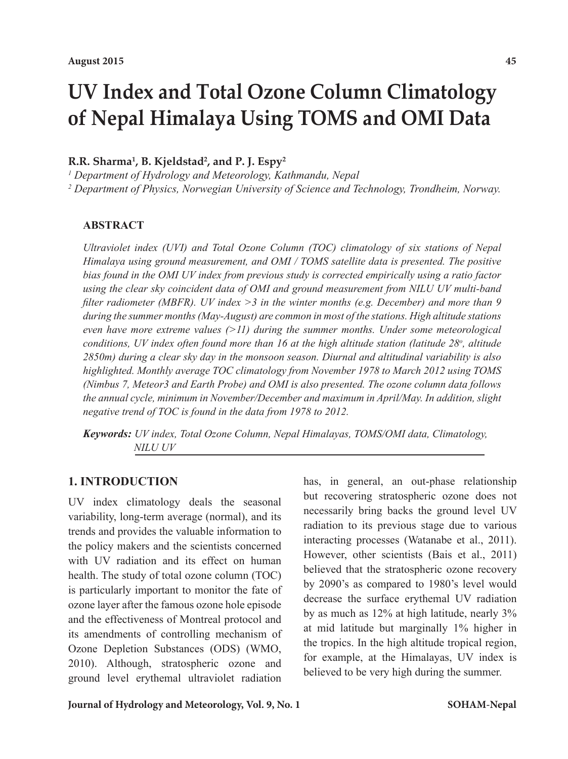# **UV Index and Total Ozone Column Climatology of Nepal Himalaya Using TOMS and OMI Data**

## **R.R. Sharma1 , B. Kjeldstad2 , and P. J. Espy2**

*1 Department of Hydrology and Meteorology, Kathmandu, Nepal*

*2 Department of Physics, Norwegian University of Science and Technology, Trondheim, Norway.*

#### **ABSTRACT**

*Ultraviolet index (UVI) and Total Ozone Column (TOC) climatology of six stations of Nepal Himalaya using ground measurement, and OMI / TOMS satellite data is presented. The positive bias found in the OMI UV index from previous study is corrected empirically using a ratio factor using the clear sky coincident data of OMI and ground measurement from NILU UV multi-band filter radiometer (MBFR). UV index >3 in the winter months (e.g. December) and more than 9 during the summer months (May-August) are common in most of the stations. High altitude stations even have more extreme values (>11) during the summer months. Under some meteorological conditions, UV index often found more than 16 at the high altitude station (latitude 28<sup>o</sup> , altitude 2850m) during a clear sky day in the monsoon season. Diurnal and altitudinal variability is also highlighted. Monthly average TOC climatology from November 1978 to March 2012 using TOMS (Nimbus 7, Meteor3 and Earth Probe) and OMI is also presented. The ozone column data follows the annual cycle, minimum in November/December and maximum in April/May. In addition, slight negative trend of TOC is found in the data from 1978 to 2012.* 

*Keywords: UV index, Total Ozone Column, Nepal Himalayas, TOMS/OMI data, Climatology, NILU UV*

# **1. INTRODUCTION**

UV index climatology deals the seasonal variability, long-term average (normal), and its trends and provides the valuable information to the policy makers and the scientists concerned with UV radiation and its effect on human health. The study of total ozone column (TOC) is particularly important to monitor the fate of ozone layer after the famous ozone hole episode and the effectiveness of Montreal protocol and its amendments of controlling mechanism of Ozone Depletion Substances (ODS) (WMO, 2010). Although, stratospheric ozone and ground level erythemal ultraviolet radiation

has, in general, an out-phase relationship but recovering stratospheric ozone does not necessarily bring backs the ground level UV radiation to its previous stage due to various interacting processes (Watanabe et al., 2011). However, other scientists (Bais et al., 2011) believed that the stratospheric ozone recovery by 2090's as compared to 1980's level would decrease the surface erythemal UV radiation by as much as 12% at high latitude, nearly 3% at mid latitude but marginally 1% higher in the tropics. In the high altitude tropical region, for example, at the Himalayas, UV index is believed to be very high during the summer.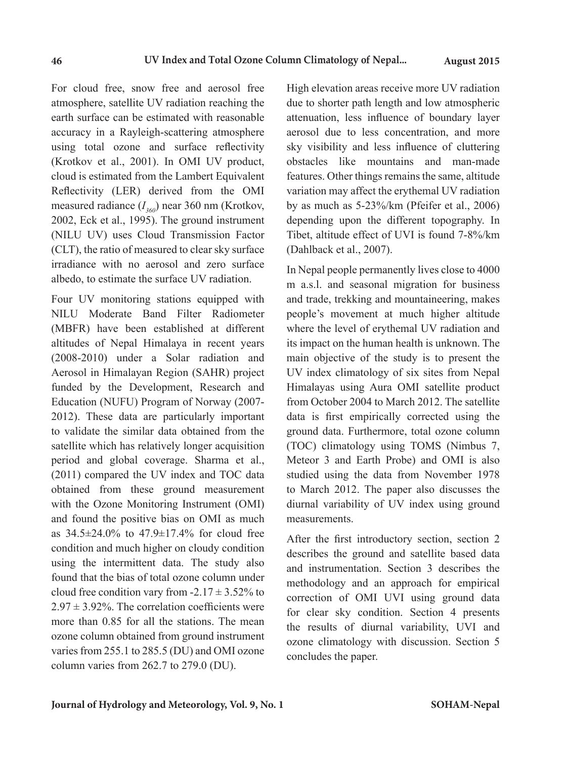For cloud free, snow free and aerosol free atmosphere, satellite UV radiation reaching the earth surface can be estimated with reasonable accuracy in a Rayleigh-scattering atmosphere using total ozone and surface reflectivity (Krotkov et al., 2001). In OMI UV product, cloud is estimated from the Lambert Equivalent Reflectivity (LER) derived from the OMI measured radiance  $(I_{360})$  near 360 nm (Krotkov, 2002, Eck et al., 1995). The ground instrument (NILU UV) uses Cloud Transmission Factor (CLT), the ratio of measured to clear sky surface irradiance with no aerosol and zero surface albedo, to estimate the surface UV radiation.

Four UV monitoring stations equipped with NILU Moderate Band Filter Radiometer (MBFR) have been established at different altitudes of Nepal Himalaya in recent years (2008-2010) under a Solar radiation and Aerosol in Himalayan Region (SAHR) project funded by the Development, Research and Education (NUFU) Program of Norway (2007- 2012). These data are particularly important to validate the similar data obtained from the satellite which has relatively longer acquisition period and global coverage. Sharma et al., (2011) compared the UV index and TOC data obtained from these ground measurement with the Ozone Monitoring Instrument (OMI) and found the positive bias on OMI as much as  $34.5\pm24.0\%$  to  $47.9\pm17.4\%$  for cloud free condition and much higher on cloudy condition using the intermittent data. The study also found that the bias of total ozone column under cloud free condition vary from  $-2.17 \pm 3.52\%$  to  $2.97 \pm 3.92\%$ . The correlation coefficients were more than 0.85 for all the stations. The mean ozone column obtained from ground instrument varies from 255.1 to 285.5 (DU) and OMI ozone column varies from 262.7 to 279.0 (DU).

High elevation areas receive more UV radiation due to shorter path length and low atmospheric attenuation, less influence of boundary layer aerosol due to less concentration, and more sky visibility and less influence of cluttering obstacles like mountains and man-made features. Other things remains the same, altitude variation may affect the erythemal UV radiation by as much as 5-23%/km (Pfeifer et al., 2006) depending upon the different topography. In Tibet, altitude effect of UVI is found 7-8%/km (Dahlback et al., 2007).

In Nepal people permanently lives close to 4000 m a.s.l. and seasonal migration for business and trade, trekking and mountaineering, makes people's movement at much higher altitude where the level of erythemal UV radiation and its impact on the human health is unknown. The main objective of the study is to present the UV index climatology of six sites from Nepal Himalayas using Aura OMI satellite product from October 2004 to March 2012. The satellite data is first empirically corrected using the ground data. Furthermore, total ozone column (TOC) climatology using TOMS (Nimbus 7, Meteor 3 and Earth Probe) and OMI is also studied using the data from November 1978 to March 2012. The paper also discusses the diurnal variability of UV index using ground measurements.

After the first introductory section, section 2 describes the ground and satellite based data and instrumentation. Section 3 describes the methodology and an approach for empirical correction of OMI UVI using ground data for clear sky condition. Section 4 presents the results of diurnal variability, UVI and ozone climatology with discussion. Section 5 concludes the paper.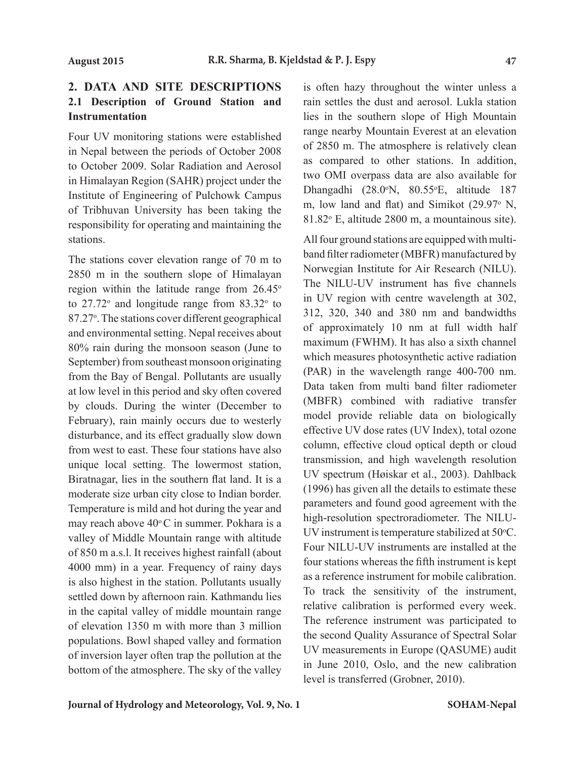# **2. DATA AND SITE DESCRIPTIONS 2.1 Description of Ground Station and Instrumentation**

Four UV monitoring stations were established in Nepal between the periods of October 2008 to October 2009. Solar Radiation and Aerosol in Himalayan Region (SAHR) project under the Institute of Engineering of Pulchowk Campus of Tribhuvan University has been taking the responsibility for operating and maintaining the stations.

The stations cover elevation range of 70 m to 2850 m in the southern slope of Himalayan region within the latitude range from  $26.45^{\circ}$ to  $27.72^{\circ}$  and longitude range from  $83.32^{\circ}$  to 87.27°. The stations cover different geographical and environmental setting. Nepal receives about 80% rain during the monsoon season (June to September) from southeast monsoon originating from the Bay of Bengal. Pollutants are usually at low level in this period and sky often covered by clouds. During the winter (December to February), rain mainly occurs due to westerly disturbance, and its effect gradually slow down from west to east. These four stations have also unique local setting. The lowermost station, Biratnagar, lies in the southern flat land. It is a moderate size urban city close to Indian border. Temperature is mild and hot during the year and may reach above  $40^{\circ}$ C in summer. Pokhara is a valley of Middle Mountain range with altitude of 850 m a.s.l. It receives highest rainfall (about 4000 mm) in a year. Frequency of rainy days is also highest in the station. Pollutants usually settled down by afternoon rain. Kathmandu lies in the capital valley of middle mountain range of elevation 1350 m with more than 3 million populations. Bowl shaped valley and formation of inversion layer often trap the pollution at the bottom of the atmosphere. The sky of the valley

is often hazy throughout the winter unless a rain settles the dust and aerosol. Lukla station lies in the southern slope of High Mountain range nearby Mountain Everest at an elevation of 2850 m. The atmosphere is relatively clean as compared to other stations. In addition, two OMI overpass data are also available for Dhangadhi (28.0°N, 80.55°E, altitude 187 m, low land and flat) and Simikot  $(29.97° \text{ N},$ 81.82° E, altitude 2800 m, a mountainous site).

All four ground stations are equipped with multiband filter radiometer (MBFR) manufactured by Norwegian Institute for Air Research (NILU). The NILU-UV instrument has five channels in UV region with centre wavelength at 302, 312, 320, 340 and 380 nm and bandwidths of approximately 10 nm at full width half maximum (FWHM). It has also a sixth channel which measures photosynthetic active radiation (PAR) in the wavelength range 400-700 nm. Data taken from multi band filter radiometer (MBFR) combined with radiative transfer model provide reliable data on biologically effective UV dose rates (UV Index), total ozone column, effective cloud optical depth or cloud transmission, and high wavelength resolution UV spectrum (Høiskar et al., 2003). Dahlback (1996) has given all the details to estimate these parameters and found good agreement with the high-resolution spectroradiometer. The NILU-UV instrument is temperature stabilized at 50°C. Four NILU-UV instruments are installed at the four stations whereas the fifth instrument is kept as a reference instrument for mobile calibration. To track the sensitivity of the instrument, relative calibration is performed every week. The reference instrument was participated to the second Quality Assurance of Spectral Solar UV measurements in Europe (QASUME) audit in June 2010, Oslo, and the new calibration level is transferred (Grobner, 2010).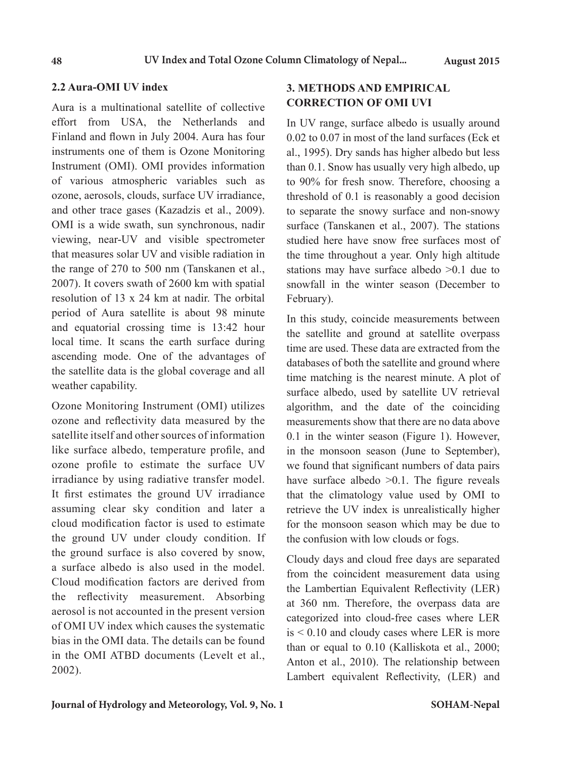### **2.2 Aura-OMI UV index**

Aura is a multinational satellite of collective effort from USA, the Netherlands and Finland and flown in July 2004. Aura has four instruments one of them is Ozone Monitoring Instrument (OMI). OMI provides information of various atmospheric variables such as ozone, aerosols, clouds, surface UV irradiance, and other trace gases (Kazadzis et al., 2009). OMI is a wide swath, sun synchronous, nadir viewing, near-UV and visible spectrometer that measures solar UV and visible radiation in the range of 270 to 500 nm (Tanskanen et al., 2007). It covers swath of 2600 km with spatial resolution of 13 x 24 km at nadir. The orbital period of Aura satellite is about 98 minute and equatorial crossing time is 13:42 hour local time. It scans the earth surface during ascending mode. One of the advantages of the satellite data is the global coverage and all weather capability.

Ozone Monitoring Instrument (OMI) utilizes ozone and reflectivity data measured by the satellite itself and other sources of information like surface albedo, temperature profile, and ozone profile to estimate the surface UV irradiance by using radiative transfer model. It first estimates the ground UV irradiance assuming clear sky condition and later a cloud modification factor is used to estimate the ground UV under cloudy condition. If the ground surface is also covered by snow, a surface albedo is also used in the model. Cloud modification factors are derived from the reflectivity measurement. Absorbing aerosol is not accounted in the present version of OMI UV index which causes the systematic bias in the OMI data. The details can be found in the OMI ATBD documents (Levelt et al., 2002).

# **3. METHODS AND EMPIRICAL CORRECTION OF OMI UVI**

In UV range, surface albedo is usually around 0.02 to 0.07 in most of the land surfaces (Eck et al., 1995). Dry sands has higher albedo but less than 0.1. Snow has usually very high albedo, up to 90% for fresh snow. Therefore, choosing a threshold of 0.1 is reasonably a good decision to separate the snowy surface and non-snowy surface (Tanskanen et al., 2007). The stations studied here have snow free surfaces most of the time throughout a year. Only high altitude stations may have surface albedo >0.1 due to snowfall in the winter season (December to February).

In this study, coincide measurements between the satellite and ground at satellite overpass time are used. These data are extracted from the databases of both the satellite and ground where time matching is the nearest minute. A plot of surface albedo, used by satellite UV retrieval algorithm, and the date of the coinciding measurements show that there are no data above 0.1 in the winter season (Figure 1). However, in the monsoon season (June to September), we found that significant numbers of data pairs have surface albedo > 0.1. The figure reveals that the climatology value used by OMI to retrieve the UV index is unrealistically higher for the monsoon season which may be due to the confusion with low clouds or fogs.

Cloudy days and cloud free days are separated from the coincident measurement data using the Lambertian Equivalent Reflectivity (LER) at 360 nm. Therefore, the overpass data are categorized into cloud-free cases where LER is < 0.10 and cloudy cases where LER is more than or equal to 0.10 (Kalliskota et al., 2000; Anton et al., 2010). The relationship between Lambert equivalent Reflectivity, (LER) and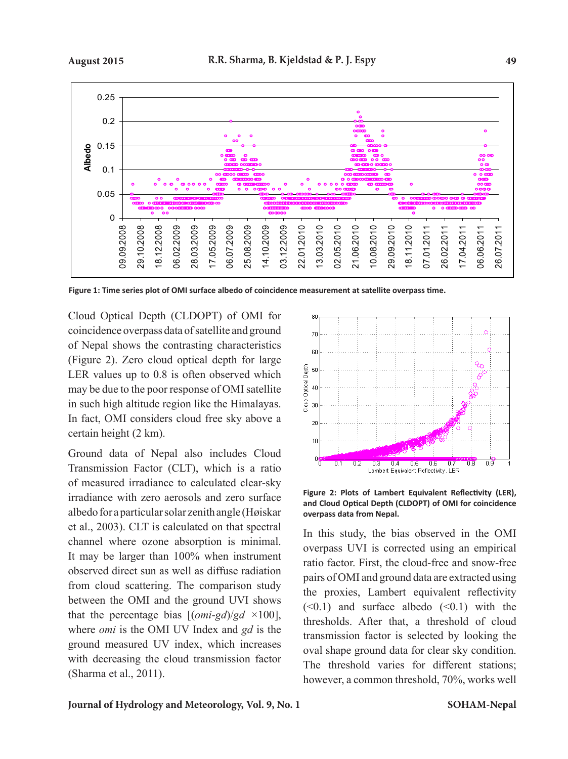

**Figure 1: Time series plot of OMI surface albedo of coincidence measurement at satellite overpass time.** 

Cloud Optical Depth (CLDOPT) of OMI for coincidence overpass data of satellite and ground of Nepal shows the contrasting characteristics (Figure 2). Zero cloud optical depth for large LER values up to 0.8 is often observed which may be due to the poor response of OMI satellite in such high altitude region like the Himalayas. In fact, OMI considers cloud free sky above a certain height (2 km).

Ground data of Nepal also includes Cloud Transmission Factor (CLT), which is a ratio of measured irradiance to calculated clear-sky irradiance with zero aerosols and zero surface albedo for a particular solar zenith angle (Høiskar et al., 2003). CLT is calculated on that spectral channel where ozone absorption is minimal. It may be larger than 100% when instrument observed direct sun as well as diffuse radiation from cloud scattering. The comparison study between the OMI and the ground UVI shows that the percentage bias [(*omi*-*gd*)/*gd ×*100], where *omi* is the OMI UV Index and *gd* is the ground measured UV index, which increases with decreasing the cloud transmission factor (Sharma et al., 2011).



**Figure 2: Plots of Lambert Equivalent Reflectivity (LER), and Cloud Optical Depth (CLDOPT) of OMI for coincidence overpass data from Nepal.**

In this study, the bias observed in the OMI overpass UVI is corrected using an empirical ratio factor. First, the cloud-free and snow-free pairs of OMI and ground data are extracted using the proxies, Lambert equivalent reflectivity  $( $0.1$ )$  and surface albedo  $( $0.1$ )$  with the thresholds. After that, a threshold of cloud transmission factor is selected by looking the oval shape ground data for clear sky condition. The threshold varies for different stations; however, a common threshold, 70%, works well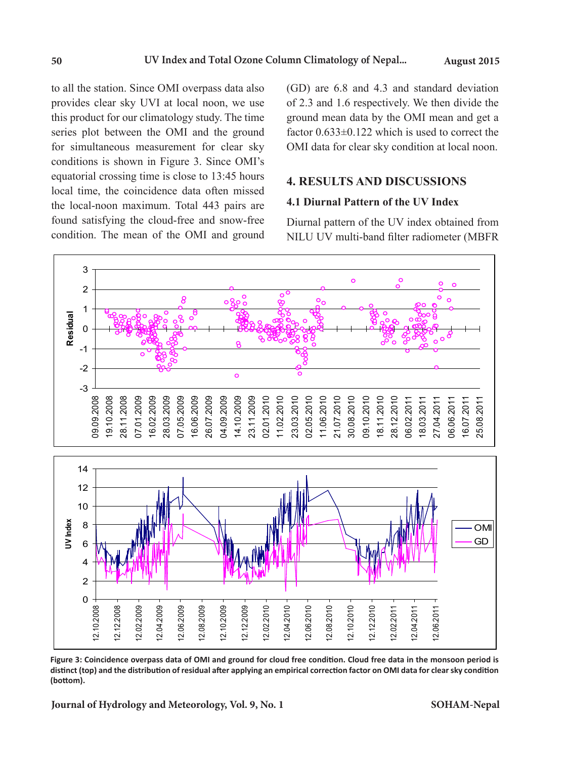to all the station. Since OMI overpass data also provides clear sky UVI at local noon, we use this product for our climatology study. The time series plot between the OMI and the ground for simultaneous measurement for clear sky conditions is shown in Figure 3. Since OMI's equatorial crossing time is close to 13:45 hours local time, the coincidence data often missed the local-noon maximum. Total 443 pairs are found satisfying the cloud-free and snow-free condition. The mean of the OMI and ground

(GD) are 6.8 and 4.3 and standard deviation of 2.3 and 1.6 respectively. We then divide the ground mean data by the OMI mean and get a factor 0.633±0.122 which is used to correct the OMI data for clear sky condition at local noon.

# **4. RESULTS AND DISCUSSIONS**

#### **4.1 Diurnal Pattern of the UV Index**

Diurnal pattern of the UV index obtained from NILU UV multi-band filter radiometer (MBFR



**Figure 3: Coincidence overpass data of OMI and ground for cloud free condition. Cloud free data in the monsoon period is distinct (top) and the distribution of residual after applying an empirical correction factor on OMI data for clear sky condition (bottom).** 

**Journal of Hydrology and Meteorology, Vol. 9, No. 1 SOHAM-Nepal**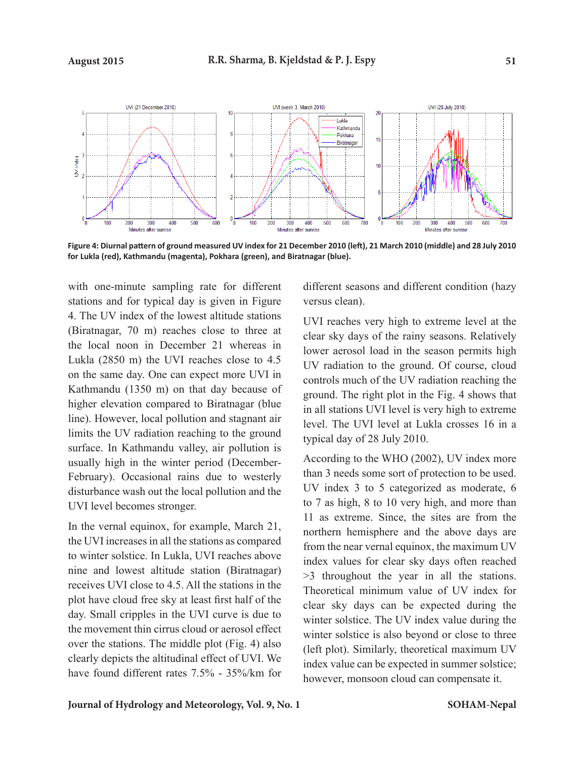

**Figure 4: Diurnal pattern of ground measured UV index for 21 December 2010 (left), 21 March 2010 (middle) and 28 July 2010 for Lukla (red), Kathmandu (magenta), Pokhara (green), and Biratnagar (blue).**

with one-minute sampling rate for different stations and for typical day is given in Figure 4. The UV index of the lowest altitude stations (Biratnagar, 70 m) reaches close to three at the local noon in December 21 whereas in Lukla (2850 m) the UVI reaches close to 4.5 on the same day. One can expect more UVI in Kathmandu (1350 m) on that day because of higher elevation compared to Biratnagar (blue line). However, local pollution and stagnant air limits the UV radiation reaching to the ground surface. In Kathmandu valley, air pollution is usually high in the winter period (December-February). Occasional rains due to westerly disturbance wash out the local pollution and the UVI level becomes stronger.

In the vernal equinox, for example, March 21, the UVI increases in all the stations as compared to winter solstice. In Lukla, UVI reaches above nine and lowest altitude station (Biratnagar) receives UVI close to 4.5. All the stations in the plot have cloud free sky at least first half of the day. Small cripples in the UVI curve is due to the movement thin cirrus cloud or aerosol effect over the stations. The middle plot (Fig. 4) also clearly depicts the altitudinal effect of UVI. We have found different rates 7.5% - 35%/km for

different seasons and different condition (hazy versus clean).

UVI reaches very high to extreme level at the clear sky days of the rainy seasons. Relatively lower aerosol load in the season permits high UV radiation to the ground. Of course, cloud controls much of the UV radiation reaching the ground. The right plot in the Fig. 4 shows that in all stations UVI level is very high to extreme level. The UVI level at Lukla crosses 16 in a typical day of 28 July 2010.

According to the WHO (2002), UV index more than 3 needs some sort of protection to be used. UV index 3 to 5 categorized as moderate, 6 to 7 as high, 8 to 10 very high, and more than 11 as extreme. Since, the sites are from the northern hemisphere and the above days are from the near vernal equinox, the maximum UV index values for clear sky days often reached >3 throughout the year in all the stations. Theoretical minimum value of UV index for clear sky days can be expected during the winter solstice. The UV index value during the winter solstice is also beyond or close to three (left plot). Similarly, theoretical maximum UV index value can be expected in summer solstice; however, monsoon cloud can compensate it.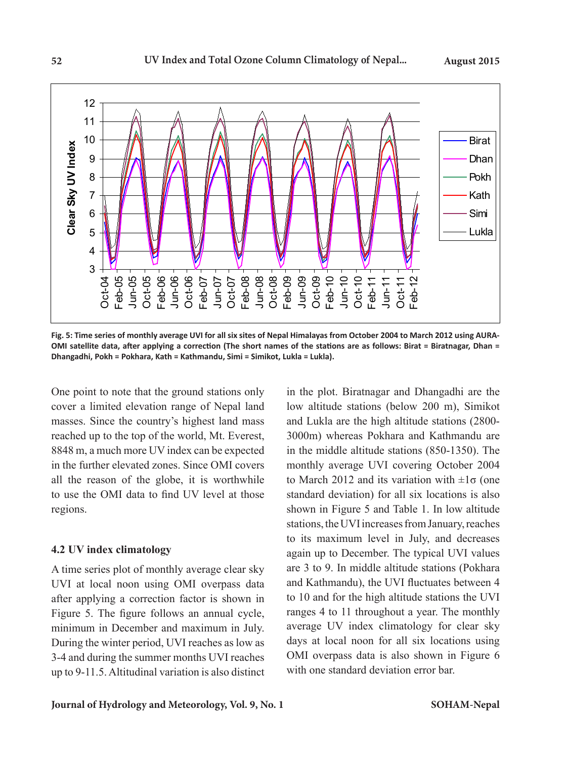

**Fig. 5: Time series of monthly average UVI for all six sites of Nepal Himalayas from October 2004 to March 2012 using AURA-OMI satellite data, after applying a correction (The short names of the stations are as follows: Birat = Biratnagar, Dhan = Dhangadhi, Pokh = Pokhara, Kath = Kathmandu, Simi = Simikot, Lukla = Lukla).** 

One point to note that the ground stations only cover a limited elevation range of Nepal land masses. Since the country's highest land mass reached up to the top of the world, Mt. Everest, 8848 m, a much more UV index can be expected in the further elevated zones. Since OMI covers all the reason of the globe, it is worthwhile to use the OMI data to find UV level at those regions.

#### **4.2 UV index climatology**

A time series plot of monthly average clear sky UVI at local noon using OMI overpass data after applying a correction factor is shown in Figure 5. The figure follows an annual cycle, minimum in December and maximum in July. During the winter period, UVI reaches as low as 3-4 and during the summer months UVI reaches up to 9-11.5. Altitudinal variation is also distinct in the plot. Biratnagar and Dhangadhi are the low altitude stations (below 200 m), Simikot and Lukla are the high altitude stations (2800- 3000m) whereas Pokhara and Kathmandu are in the middle altitude stations (850-1350). The monthly average UVI covering October 2004 to March 2012 and its variation with  $\pm 1\sigma$  (one standard deviation) for all six locations is also shown in Figure 5 and Table 1. In low altitude stations, the UVI increases from January, reaches to its maximum level in July, and decreases again up to December. The typical UVI values are 3 to 9. In middle altitude stations (Pokhara and Kathmandu), the UVI fluctuates between 4 to 10 and for the high altitude stations the UVI ranges 4 to 11 throughout a year. The monthly average UV index climatology for clear sky days at local noon for all six locations using OMI overpass data is also shown in Figure 6 with one standard deviation error bar.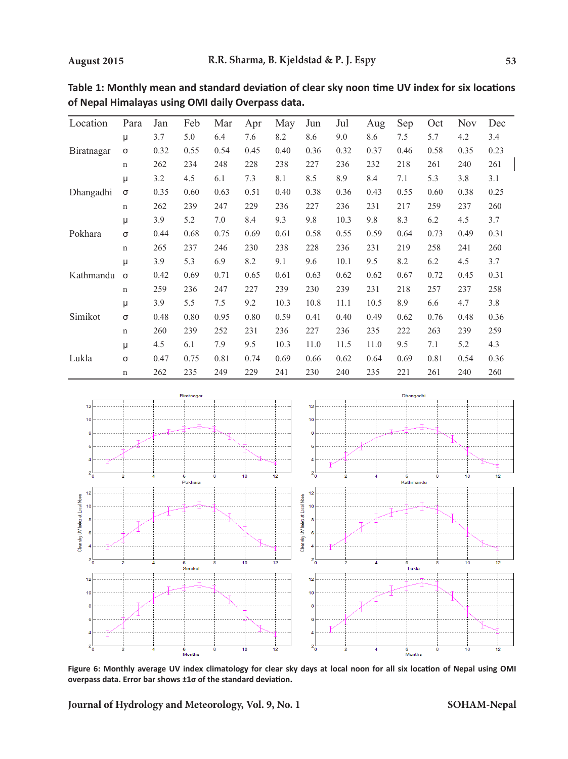| Location   | Para        | Jan  | Feb  | Mar  | Apr  | May  | Jun  | Jul  | Aug  | Sep  | Oct  | <b>Nov</b> | Dec  |
|------------|-------------|------|------|------|------|------|------|------|------|------|------|------------|------|
|            | μ           | 3.7  | 5.0  | 6.4  | 7.6  | 8.2  | 8.6  | 9.0  | 8.6  | 7.5  | 5.7  | 4.2        | 3.4  |
| Biratnagar | σ           | 0.32 | 0.55 | 0.54 | 0.45 | 0.40 | 0.36 | 0.32 | 0.37 | 0.46 | 0.58 | 0.35       | 0.23 |
|            | $\mathbf n$ | 262  | 234  | 248  | 228  | 238  | 227  | 236  | 232  | 218  | 261  | 240        | 261  |
|            | μ           | 3.2  | 4.5  | 6.1  | 7.3  | 8.1  | 8.5  | 8.9  | 8.4  | 7.1  | 5.3  | 3.8        | 3.1  |
| Dhangadhi  | σ           | 0.35 | 0.60 | 0.63 | 0.51 | 0.40 | 0.38 | 0.36 | 0.43 | 0.55 | 0.60 | 0.38       | 0.25 |
|            | $\mathbf n$ | 262  | 239  | 247  | 229  | 236  | 227  | 236  | 231  | 217  | 259  | 237        | 260  |
|            | μ           | 3.9  | 5.2  | 7.0  | 8.4  | 9.3  | 9.8  | 10.3 | 9.8  | 8.3  | 6.2  | 4.5        | 3.7  |
| Pokhara    | σ           | 0.44 | 0.68 | 0.75 | 0.69 | 0.61 | 0.58 | 0.55 | 0.59 | 0.64 | 0.73 | 0.49       | 0.31 |
|            | $\mathbf n$ | 265  | 237  | 246  | 230  | 238  | 228  | 236  | 231  | 219  | 258  | 241        | 260  |
| Kathmandu  | μ           | 3.9  | 5.3  | 6.9  | 8.2  | 9.1  | 9.6  | 10.1 | 9.5  | 8.2  | 6.2  | 4.5        | 3.7  |
|            | $\sigma$    | 0.42 | 0.69 | 0.71 | 0.65 | 0.61 | 0.63 | 0.62 | 0.62 | 0.67 | 0.72 | 0.45       | 0.31 |
|            | $\mathbf n$ | 259  | 236  | 247  | 227  | 239  | 230  | 239  | 231  | 218  | 257  | 237        | 258  |
|            | μ           | 3.9  | 5.5  | 7.5  | 9.2  | 10.3 | 10.8 | 11.1 | 10.5 | 8.9  | 6.6  | 4.7        | 3.8  |
| Simikot    | σ           | 0.48 | 0.80 | 0.95 | 0.80 | 0.59 | 0.41 | 0.40 | 0.49 | 0.62 | 0.76 | 0.48       | 0.36 |
|            | $\mathbf n$ | 260  | 239  | 252  | 231  | 236  | 227  | 236  | 235  | 222  | 263  | 239        | 259  |
|            | μ           | 4.5  | 6.1  | 7.9  | 9.5  | 10.3 | 11.0 | 11.5 | 11.0 | 9.5  | 7.1  | 5.2        | 4.3  |
| Lukla      | $\sigma$    | 0.47 | 0.75 | 0.81 | 0.74 | 0.69 | 0.66 | 0.62 | 0.64 | 0.69 | 0.81 | 0.54       | 0.36 |
|            | $\mathbf n$ | 262  | 235  | 249  | 229  | 241  | 230  | 240  | 235  | 221  | 261  | 240        | 260  |

**Table 1: Monthly mean and standard deviation of clear sky noon time UV index for six locations of Nepal Himalayas using OMI daily Overpass data.** 



**Figure 6: Monthly average UV index climatology for clear sky days at local noon for all six location of Nepal using OMI overpass data. Error bar shows ±1σ of the standard deviation.**

**Journal of Hydrology and Meteorology, Vol. 9, No. 1**

**SOHAM-Nepal**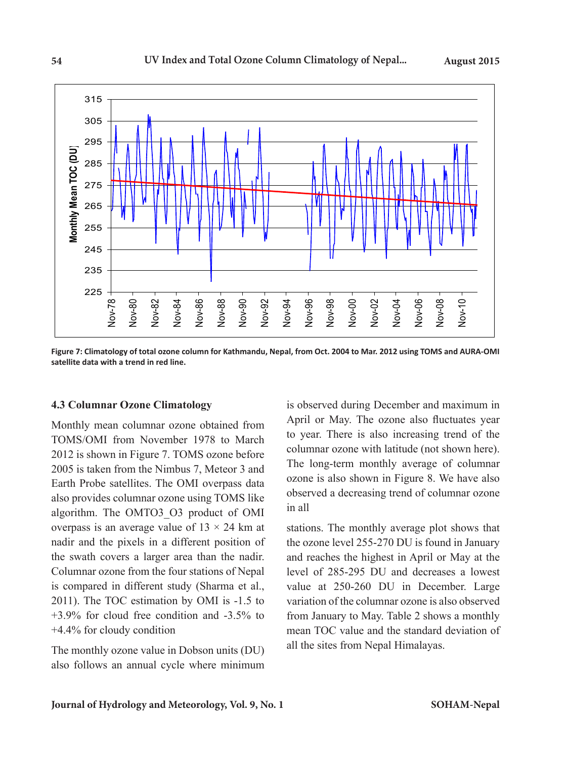

**Figure 7: Climatology of total ozone column for Kathmandu, Nepal, from Oct. 2004 to Mar. 2012 using TOMS and AURA-OMI satellite data with a trend in red line.** 

#### **4.3 Columnar Ozone Climatology**

Monthly mean columnar ozone obtained from TOMS/OMI from November 1978 to March 2012 is shown in Figure 7. TOMS ozone before 2005 is taken from the Nimbus 7, Meteor 3 and Earth Probe satellites. The OMI overpass data also provides columnar ozone using TOMS like algorithm. The OMTO3\_O3 product of OMI overpass is an average value of  $13 \times 24$  km at nadir and the pixels in a different position of the swath covers a larger area than the nadir. Columnar ozone from the four stations of Nepal is compared in different study (Sharma et al., 2011). The TOC estimation by OMI is -1.5 to +3.9% for cloud free condition and -3.5% to +4.4% for cloudy condition

The monthly ozone value in Dobson units (DU) also follows an annual cycle where minimum is observed during December and maximum in April or May. The ozone also fluctuates year to year. There is also increasing trend of the columnar ozone with latitude (not shown here). The long-term monthly average of columnar ozone is also shown in Figure 8. We have also observed a decreasing trend of columnar ozone in all

stations. The monthly average plot shows that the ozone level 255-270 DU is found in January and reaches the highest in April or May at the level of 285-295 DU and decreases a lowest value at 250-260 DU in December. Large variation of the columnar ozone is also observed from January to May. Table 2 shows a monthly mean TOC value and the standard deviation of all the sites from Nepal Himalayas.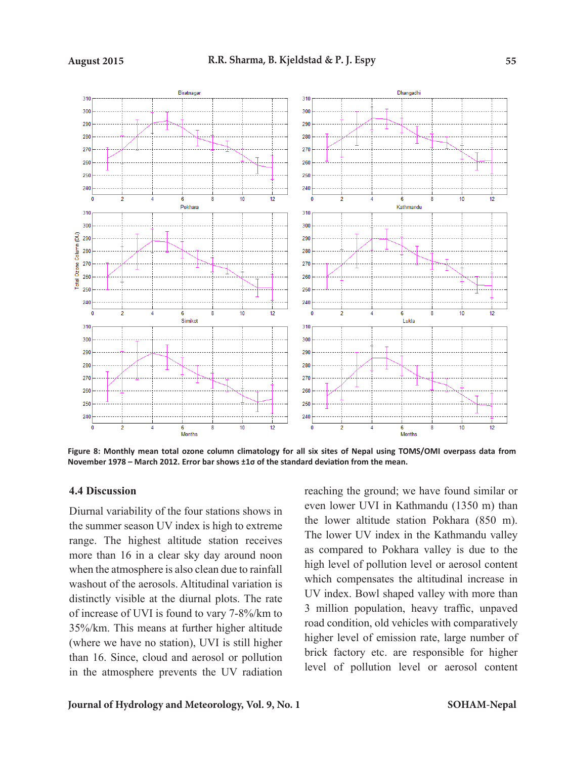

**Figure 8: Monthly mean total ozone column climatology for all six sites of Nepal using TOMS/OMI overpass data from November 1978 – March 2012. Error bar shows ±1σ of the standard deviation from the mean.**

#### **4.4 Discussion**

Diurnal variability of the four stations shows in the summer season UV index is high to extreme range. The highest altitude station receives more than 16 in a clear sky day around noon when the atmosphere is also clean due to rainfall washout of the aerosols. Altitudinal variation is distinctly visible at the diurnal plots. The rate of increase of UVI is found to vary 7-8%/km to 35%/km. This means at further higher altitude (where we have no station), UVI is still higher than 16. Since, cloud and aerosol or pollution in the atmosphere prevents the UV radiation reaching the ground; we have found similar or even lower UVI in Kathmandu (1350 m) than the lower altitude station Pokhara (850 m). The lower UV index in the Kathmandu valley as compared to Pokhara valley is due to the high level of pollution level or aerosol content which compensates the altitudinal increase in UV index. Bowl shaped valley with more than 3 million population, heavy traffic, unpaved road condition, old vehicles with comparatively higher level of emission rate, large number of brick factory etc. are responsible for higher level of pollution level or aerosol content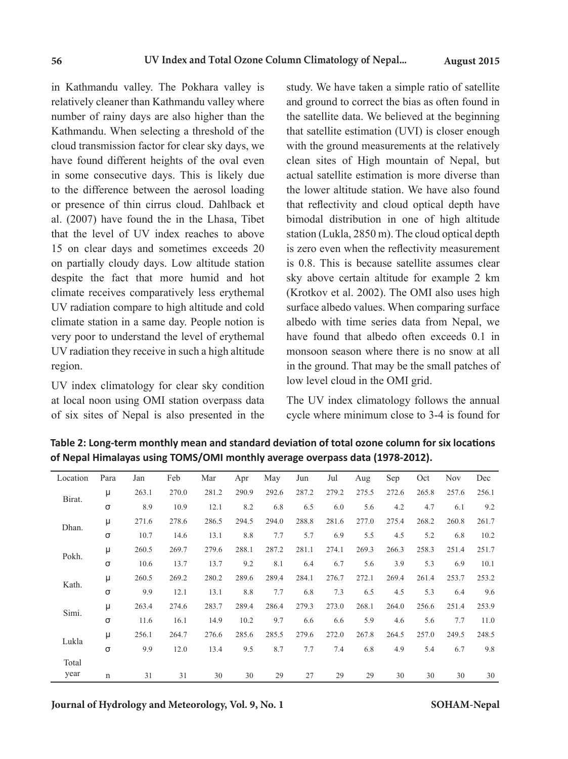in Kathmandu valley. The Pokhara valley is relatively cleaner than Kathmandu valley where number of rainy days are also higher than the Kathmandu. When selecting a threshold of the cloud transmission factor for clear sky days, we have found different heights of the oval even in some consecutive days. This is likely due to the difference between the aerosol loading or presence of thin cirrus cloud. Dahlback et al. (2007) have found the in the Lhasa, Tibet that the level of UV index reaches to above 15 on clear days and sometimes exceeds 20 on partially cloudy days. Low altitude station despite the fact that more humid and hot climate receives comparatively less erythemal UV radiation compare to high altitude and cold climate station in a same day. People notion is very poor to understand the level of erythemal UV radiation they receive in such a high altitude region.

UV index climatology for clear sky condition at local noon using OMI station overpass data of six sites of Nepal is also presented in the study. We have taken a simple ratio of satellite and ground to correct the bias as often found in the satellite data. We believed at the beginning that satellite estimation (UVI) is closer enough with the ground measurements at the relatively clean sites of High mountain of Nepal, but actual satellite estimation is more diverse than the lower altitude station. We have also found that reflectivity and cloud optical depth have bimodal distribution in one of high altitude station (Lukla, 2850 m). The cloud optical depth is zero even when the reflectivity measurement is 0.8. This is because satellite assumes clear sky above certain altitude for example 2 km (Krotkov et al. 2002). The OMI also uses high surface albedo values. When comparing surface albedo with time series data from Nepal, we have found that albedo often exceeds 0.1 in monsoon season where there is no snow at all in the ground. That may be the small patches of low level cloud in the OMI grid.

The UV index climatology follows the annual cycle where minimum close to 3-4 is found for

**Table 2: Long-term monthly mean and standard deviation of total ozone column for six locations of Nepal Himalayas using TOMS/OMI monthly average overpass data (1978-2012).**

| Location | Para        | Jan   | Feb   | Mar   | Apr   | May   | Jun   | Jul   | Aug   | Sep   | Oct   | <b>Nov</b> | Dec   |
|----------|-------------|-------|-------|-------|-------|-------|-------|-------|-------|-------|-------|------------|-------|
| Birat.   | μ           | 263.1 | 270.0 | 281.2 | 290.9 | 292.6 | 287.2 | 279.2 | 275.5 | 272.6 | 265.8 | 257.6      | 256.1 |
|          | σ           | 8.9   | 10.9  | 12.1  | 8.2   | 6.8   | 6.5   | 6.0   | 5.6   | 4.2   | 4.7   | 6.1        | 9.2   |
| Dhan.    | μ           | 271.6 | 278.6 | 286.5 | 294.5 | 294.0 | 288.8 | 281.6 | 277.0 | 275.4 | 268.2 | 260.8      | 261.7 |
|          | σ           | 10.7  | 14.6  | 13.1  | 8.8   | 7.7   | 5.7   | 6.9   | 5.5   | 4.5   | 5.2   | 6.8        | 10.2  |
| Pokh.    | μ           | 260.5 | 269.7 | 279.6 | 288.1 | 287.2 | 281.1 | 274.1 | 269.3 | 266.3 | 258.3 | 251.4      | 251.7 |
|          | σ           | 10.6  | 13.7  | 13.7  | 9.2   | 8.1   | 6.4   | 6.7   | 5.6   | 3.9   | 5.3   | 6.9        | 10.1  |
| Kath.    | μ           | 260.5 | 269.2 | 280.2 | 289.6 | 289.4 | 284.1 | 276.7 | 272.1 | 269.4 | 261.4 | 253.7      | 253.2 |
|          | σ           | 9.9   | 12.1  | 13.1  | 8.8   | 7.7   | 6.8   | 7.3   | 6.5   | 4.5   | 5.3   | 6.4        | 9.6   |
| Simi.    | μ           | 263.4 | 274.6 | 283.7 | 289.4 | 286.4 | 279.3 | 273.0 | 268.1 | 264.0 | 256.6 | 251.4      | 253.9 |
|          | σ           | 11.6  | 16.1  | 14.9  | 10.2  | 9.7   | 6.6   | 6.6   | 5.9   | 4.6   | 5.6   | 7.7        | 11.0  |
| Lukla    | μ           | 256.1 | 264.7 | 276.6 | 285.6 | 285.5 | 279.6 | 272.0 | 267.8 | 264.5 | 257.0 | 249.5      | 248.5 |
|          | σ           | 9.9   | 12.0  | 13.4  | 9.5   | 8.7   | 7.7   | 7.4   | 6.8   | 4.9   | 5.4   | 6.7        | 9.8   |
| Total    |             |       |       |       |       |       |       |       |       |       |       |            |       |
| year     | $\mathbf n$ | 31    | 31    | 30    | 30    | 29    | 27    | 29    | 29    | 30    | 30    | 30         | 30    |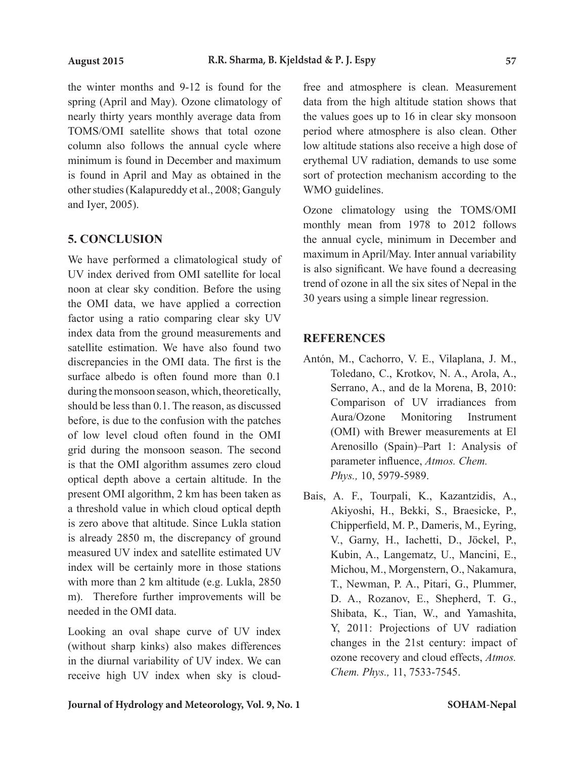the winter months and 9-12 is found for the spring (April and May). Ozone climatology of nearly thirty years monthly average data from TOMS/OMI satellite shows that total ozone column also follows the annual cycle where minimum is found in December and maximum is found in April and May as obtained in the other studies (Kalapureddy et al., 2008; Ganguly and Iyer, 2005).

### **5. CONCLUSION**

We have performed a climatological study of UV index derived from OMI satellite for local noon at clear sky condition. Before the using the OMI data, we have applied a correction factor using a ratio comparing clear sky UV index data from the ground measurements and satellite estimation. We have also found two discrepancies in the OMI data. The first is the surface albedo is often found more than 0.1 during the monsoon season, which, theoretically, should be less than 0.1. The reason, as discussed before, is due to the confusion with the patches of low level cloud often found in the OMI grid during the monsoon season. The second is that the OMI algorithm assumes zero cloud optical depth above a certain altitude. In the present OMI algorithm, 2 km has been taken as a threshold value in which cloud optical depth is zero above that altitude. Since Lukla station is already 2850 m, the discrepancy of ground measured UV index and satellite estimated UV index will be certainly more in those stations with more than 2 km altitude (e.g. Lukla, 2850 m). Therefore further improvements will be needed in the OMI data.

Looking an oval shape curve of UV index (without sharp kinks) also makes differences in the diurnal variability of UV index. We can receive high UV index when sky is cloudfree and atmosphere is clean. Measurement data from the high altitude station shows that the values goes up to 16 in clear sky monsoon period where atmosphere is also clean. Other low altitude stations also receive a high dose of erythemal UV radiation, demands to use some sort of protection mechanism according to the WMO guidelines.

Ozone climatology using the TOMS/OMI monthly mean from 1978 to 2012 follows the annual cycle, minimum in December and maximum in April/May. Inter annual variability is also significant. We have found a decreasing trend of ozone in all the six sites of Nepal in the 30 years using a simple linear regression.

# **REFERENCES**

- Antón, M., Cachorro, V. E., Vilaplana, J. M., Toledano, C., Krotkov, N. A., Arola, A., Serrano, A., and de la Morena, B, 2010: Comparison of UV irradiances from Aura/Ozone Monitoring Instrument (OMI) with Brewer measurements at El Arenosillo (Spain)–Part 1: Analysis of parameter influence, *Atmos. Chem. Phys.,* 10, 5979-5989.
- Bais, A. F., Tourpali, K., Kazantzidis, A., Akiyoshi, H., Bekki, S., Braesicke, P., Chipperfield, M. P., Dameris, M., Eyring, V., Garny, H., Iachetti, D., Jöckel, P., Kubin, A., Langematz, U., Mancini, E., Michou, M., Morgenstern, O., Nakamura, T., Newman, P. A., Pitari, G., Plummer, D. A., Rozanov, E., Shepherd, T. G., Shibata, K., Tian, W., and Yamashita, Y, 2011: Projections of UV radiation changes in the 21st century: impact of ozone recovery and cloud effects, *Atmos. Chem. Phys.,* 11, 7533-7545.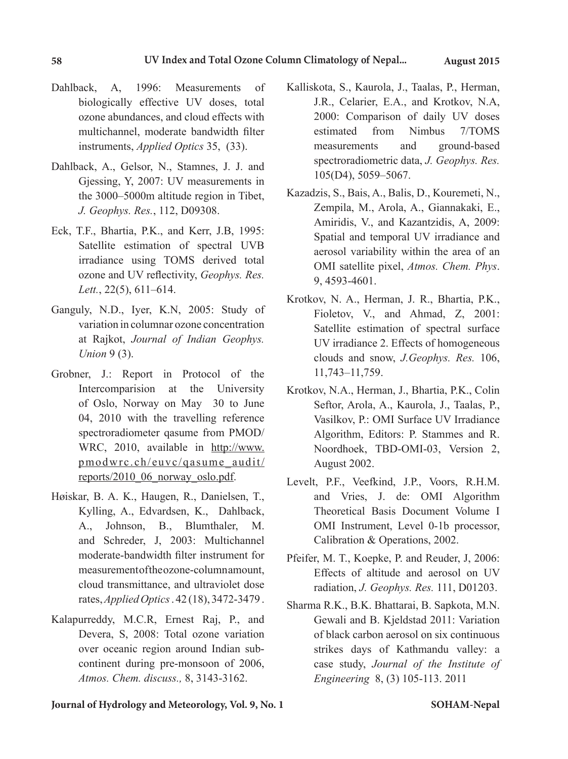- Dahlback, A, 1996: Measurements of biologically effective UV doses, total ozone abundances, and cloud effects with multichannel, moderate bandwidth filter instruments, *Applied Optics* 35, (33).
- Dahlback, A., Gelsor, N., Stamnes, J. J. and Gjessing, Y, 2007: UV measurements in the 3000–5000m altitude region in Tibet, *J. Geophys. Res.*, 112, D09308.
- Eck, T.F., Bhartia, P.K., and Kerr, J.B, 1995: Satellite estimation of spectral UVB irradiance using TOMS derived total ozone and UV reflectivity, *Geophys. Res. Lett.*, 22(5), 611–614.
- Ganguly, N.D., Iyer, K.N, 2005: Study of variation in columnar ozone concentration at Rajkot, *Journal of Indian Geophys. Union* 9 (3).
- Grobner, J.: Report in Protocol of the Intercomparision at the University of Oslo, Norway on May 30 to June 04, 2010 with the travelling reference spectroradiometer qasume from PMOD/ WRC, 2010, available in http://www. pmodwrc.ch/euvc/qasume\_audit/ reports/2010\_06\_norway\_oslo.pdf.
- Høiskar, B. A. K., Haugen, R., Danielsen, T., Kylling, A., Edvardsen, K., Dahlback, A., Johnson, B., Blumthaler, M. and Schreder, J, 2003: Multichannel moderate-bandwidth filter instrument for measurement of the ozone-column amount. cloud transmittance, and ultraviolet dose rates, *Applied Optics* . 42 (18), 3472-3479 .
- Kalapurreddy, M.C.R, Ernest Raj, P., and Devera, S, 2008: Total ozone variation over oceanic region around Indian subcontinent during pre-monsoon of 2006, *Atmos. Chem. discuss.,* 8, 3143-3162.
- Kalliskota, S., Kaurola, J., Taalas, P., Herman, J.R., Celarier, E.A., and Krotkov, N.A, 2000: Comparison of daily UV doses estimated from Nimbus 7/TOMS measurements and ground-based spectroradiometric data, *J. Geophys. Res.* 105(D4), 5059–5067.
- Kazadzis, S., Bais, A., Balis, D., Kouremeti, N., Zempila, M., Arola, A., Giannakaki, E., Amiridis, V., and Kazantzidis, A, 2009: Spatial and temporal UV irradiance and aerosol variability within the area of an OMI satellite pixel, *Atmos. Chem. Phys*. 9, 4593-4601.
- Krotkov, N. A., Herman, J. R., Bhartia, P.K., Fioletov, V., and Ahmad, Z, 2001: Satellite estimation of spectral surface UV irradiance 2. Effects of homogeneous clouds and snow, *J.Geophys. Res.* 106, 11,743–11,759.
- Krotkov, N.A., Herman, J., Bhartia, P.K., Colin Seftor, Arola, A., Kaurola, J., Taalas, P., Vasilkov, P.: OMI Surface UV Irradiance Algorithm, Editors: P. Stammes and R. Noordhoek, TBD-OMI-03, Version 2, August 2002.
- Levelt, P.F., Veefkind, J.P., Voors, R.H.M. and Vries, J. de: OMI Algorithm Theoretical Basis Document Volume I OMI Instrument, Level 0-1b processor, Calibration & Operations, 2002.
- Pfeifer, M. T., Koepke, P. and Reuder, J, 2006: Effects of altitude and aerosol on UV radiation, *J. Geophys. Res.* 111, D01203.
- Sharma R.K., B.K. Bhattarai, B. Sapkota, M.N. Gewali and B. Kjeldstad 2011: Variation of black carbon aerosol on six continuous strikes days of Kathmandu valley: a case study, *Journal of the Institute of Engineering* 8, (3) 105-113. 2011

**Journal of Hydrology and Meteorology, Vol. 9, No. 1 SOHAM-Nepal**